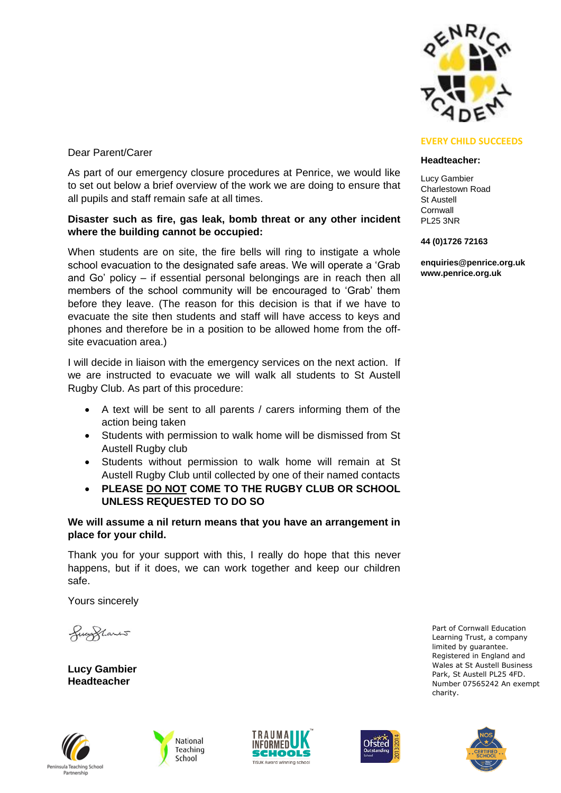

## Dear Parent/Carer

As part of our emergency closure procedures at Penrice, we would like to set out below a brief overview of the work we are doing to ensure that all pupils and staff remain safe at all times.

### **Disaster such as fire, gas leak, bomb threat or any other incident where the building cannot be occupied:**

When students are on site, the fire bells will ring to instigate a whole school evacuation to the designated safe areas. We will operate a 'Grab and Go' policy – if essential personal belongings are in reach then all members of the school community will be encouraged to 'Grab' them before they leave. (The reason for this decision is that if we have to evacuate the site then students and staff will have access to keys and phones and therefore be in a position to be allowed home from the offsite evacuation area.)

I will decide in liaison with the emergency services on the next action. If we are instructed to evacuate we will walk all students to St Austell Rugby Club. As part of this procedure:

- A text will be sent to all parents / carers informing them of the action being taken
- Students with permission to walk home will be dismissed from St Austell Rugby club
- Students without permission to walk home will remain at St Austell Rugby Club until collected by one of their named contacts
- **PLEASE DO NOT COME TO THE RUGBY CLUB OR SCHOOL UNLESS REQUESTED TO DO SO**

## **We will assume a nil return means that you have an arrangement in place for your child.**

Thank you for your support with this, I really do hope that this never happens, but if it does, we can work together and keep our children safe.

Yours sincerely

fugglants

**Lucy Gambier Headteacher**











### **Headteacher:**

Lucy Gambier Charlestown Road St Austell Cornwall PL25 3NR

#### **44 (0)1726 72163**

**enquiries@penrice.org.uk www.penrice.org.uk**

> Part of Cornwall Education Learning Trust, a company limited by guarantee. Registered in England and Wales at St Austell Business Park, St Austell PL25 4FD. Number 07565242 An exempt charity.